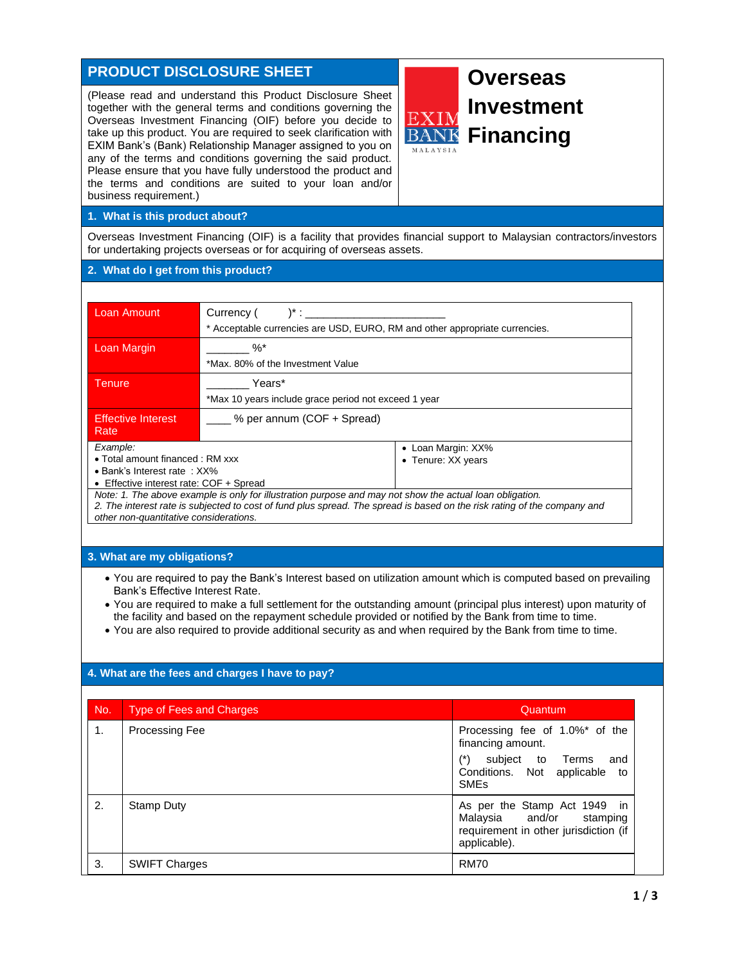# **PRODUCT DISCLOSURE SHEET**

(Please read and understand this Product Disclosure Sheet together with the general terms and conditions governing the Overseas Investment Financing (OIF) before you decide to take up this product. You are required to seek clarification with EXIM Bank's (Bank) Relationship Manager assigned to you on any of the terms and conditions governing the said product. Please ensure that you have fully understood the product and the terms and conditions are suited to your loan and/or business requirement.)



## **1. What is this product about?**

Overseas Investment Financing (OIF) is a facility that provides financial support to Malaysian contractors/investors for undertaking projects overseas or for acquiring of overseas assets.

## **2. What do I get from this product?**

| <b>Loan Amount</b>                      | Currency (<br>$)^*$ :                                                       |                    |
|-----------------------------------------|-----------------------------------------------------------------------------|--------------------|
|                                         | * Acceptable currencies are USD, EURO, RM and other appropriate currencies. |                    |
| Loan Margin                             | $\%$ <sup>*</sup>                                                           |                    |
|                                         | *Max, 80% of the Investment Value                                           |                    |
| Years*<br>Tenure                        |                                                                             |                    |
|                                         | *Max 10 years include grace period not exceed 1 year                        |                    |
| <b>Effective Interest</b><br>Rate       | ___ % per annum (COF + Spread)                                              |                    |
| Example:                                |                                                                             | • Loan Margin: XX% |
| • Total amount financed : RM xxx        |                                                                             | • Tenure: XX years |
| $\bullet$ Bank's Interest rate: $XX\%$  |                                                                             |                    |
| • Effective interest rate: COF + Spread |                                                                             |                    |

*Note: 1. The above example is only for illustration purpose and may not show the actual loan obligation.*

*2. The interest rate is subjected to cost of fund plus spread. The spread is based on the risk rating of the company and other non-quantitative considerations.*

## **3. What are my obligations?**

- You are required to pay the Bank's Interest based on utilization amount which is computed based on prevailing Bank's Effective Interest Rate.
- You are required to make a full settlement for the outstanding amount (principal plus interest) upon maturity of the facility and based on the repayment schedule provided or notified by the Bank from time to time.
- You are also required to provide additional security as and when required by the Bank from time to time.

## **4. What are the fees and charges I have to pay?**

| No. | <b>Type of Fees and Charges</b> | Quantum                                                                                                           |
|-----|---------------------------------|-------------------------------------------------------------------------------------------------------------------|
| 1.  | <b>Processing Fee</b>           | Processing fee of 1.0%* of the<br>financing amount.                                                               |
|     |                                 | subject to Terms<br>and<br>Conditions. Not applicable<br>to<br><b>SME<sub>s</sub></b>                             |
| 2.  | Stamp Duty                      | As per the Stamp Act 1949 in<br>Malaysia and/or stamping<br>requirement in other jurisdiction (if<br>applicable). |
| 3.  | <b>SWIFT Charges</b>            | <b>RM70</b>                                                                                                       |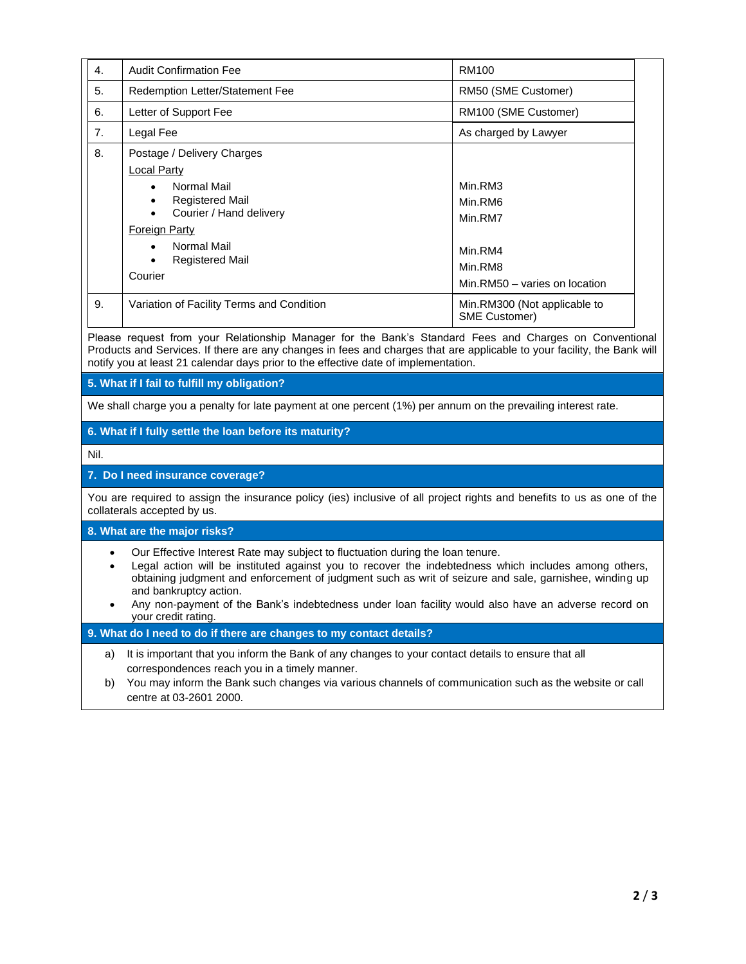| $\mathbf{4}$ . | <b>Audit Confirmation Fee</b>                                                                                                                                                                                                                              | RM100                                                                                |
|----------------|------------------------------------------------------------------------------------------------------------------------------------------------------------------------------------------------------------------------------------------------------------|--------------------------------------------------------------------------------------|
| 5.             | Redemption Letter/Statement Fee                                                                                                                                                                                                                            | RM50 (SME Customer)                                                                  |
| 6.             | Letter of Support Fee                                                                                                                                                                                                                                      | RM100 (SME Customer)                                                                 |
| 7.             | Legal Fee                                                                                                                                                                                                                                                  | As charged by Lawyer                                                                 |
| 8.             | Postage / Delivery Charges<br>Local Party<br>Normal Mail<br>$\bullet$<br><b>Registered Mail</b><br>$\bullet$<br>Courier / Hand delivery<br>$\bullet$<br><b>Foreign Party</b><br>Normal Mail<br>$\bullet$<br><b>Registered Mail</b><br>$\bullet$<br>Courier | Min.RM3<br>Min.RM6<br>Min.RM7<br>Min.RM4<br>Min.RM8<br>Min.RM50 - varies on location |
| 9.             | Variation of Facility Terms and Condition                                                                                                                                                                                                                  | Min.RM300 (Not applicable to<br><b>SME Customer)</b>                                 |

Please request from your Relationship Manager for the Bank's Standard Fees and Charges on Conventional Products and Services. If there are any changes in fees and charges that are applicable to your facility, the Bank will notify you at least 21 calendar days prior to the effective date of implementation.

**5. What if I fail to fulfill my obligation?**

We shall charge you a penalty for late payment at one percent (1%) per annum on the prevailing interest rate.

## **6. What if I fully settle the loan before its maturity?**

Nil.

### **7. Do I need insurance coverage?**

You are required to assign the insurance policy (ies) inclusive of all project rights and benefits to us as one of the collaterals accepted by us.

**8. What are the major risks?**

- Our Effective Interest Rate may subject to fluctuation during the loan tenure.
- Legal action will be instituted against you to recover the indebtedness which includes among others, obtaining judgment and enforcement of judgment such as writ of seizure and sale, garnishee, winding up and bankruptcy action.
- Any non-payment of the Bank's indebtedness under loan facility would also have an adverse record on your credit rating.

### **9. What do I need to do if there are changes to my contact details?**

- a) It is important that you inform the Bank of any changes to your contact details to ensure that all correspondences reach you in a timely manner.
- b) You may inform the Bank such changes via various channels of communication such as the website or call centre at 03-2601 2000.